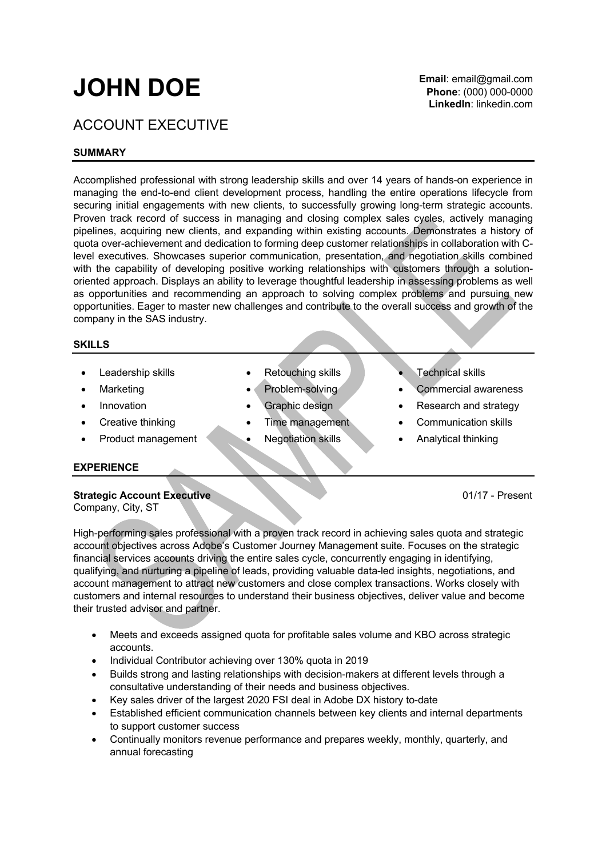# **JOHN DOE**

## ACCOUNT EXECUTIVE

### **SUMMARY**

Accomplished professional with strong leadership skills and over 14 years of hands-on experience in managing the end-to-end client development process, handling the entire operations lifecycle from securing initial engagements with new clients, to successfully growing long-term strategic accounts. Proven track record of success in managing and closing complex sales cycles, actively managing pipelines, acquiring new clients, and expanding within existing accounts. Demonstrates a history of quota over-achievement and dedication to forming deep customer relationships in collaboration with Clevel executives. Showcases superior communication, presentation, and negotiation skills combined with the capability of developing positive working relationships with customers through a solutionoriented approach. Displays an ability to leverage thoughtful leadership in assessing problems as well as opportunities and recommending an approach to solving complex problems and pursuing new opportunities. Eager to master new challenges and contribute to the overall success and growth of the company in the SAS industry.

#### **SKILLS**

- 
- 
- 
- 
- 
- Leadership skills **•** Retouching skills Technical skills
	-
	-
	-
	-
- 
- Marketing Problem-solving Commercial awareness
- **Innovation** Graphic design Research and strategy
- Creative thinking Time management Communication skills
- **Product management Negotiation skills Analytical thinking**

#### **EXPERIENCE**

**Strategic Account Executive 1/17 - Present** 

Company, City, ST

High-performing sales professional with a proven track record in achieving sales quota and strategic account objectives across Adobe's Customer Journey Management suite. Focuses on the strategic financial services accounts driving the entire sales cycle, concurrently engaging in identifying, qualifying, and nurturing a pipeline of leads, providing valuable data-led insights, negotiations, and account management to attract new customers and close complex transactions. Works closely with customers and internal resources to understand their business objectives, deliver value and become their trusted advisor and partner.

- Meets and exceeds assigned quota for profitable sales volume and KBO across strategic accounts.
- Individual Contributor achieving over 130% quota in 2019
- Builds strong and lasting relationships with decision-makers at different levels through a consultative understanding of their needs and business objectives.
- Key sales driver of the largest 2020 FSI deal in Adobe DX history to-date
- Established efficient communication channels between key clients and internal departments to support customer success
- Continually monitors revenue performance and prepares weekly, monthly, quarterly, and annual forecasting

**Email**: email@gmail.com **Phone**: (000) 000-0000 **LinkedIn**: linkedin.com